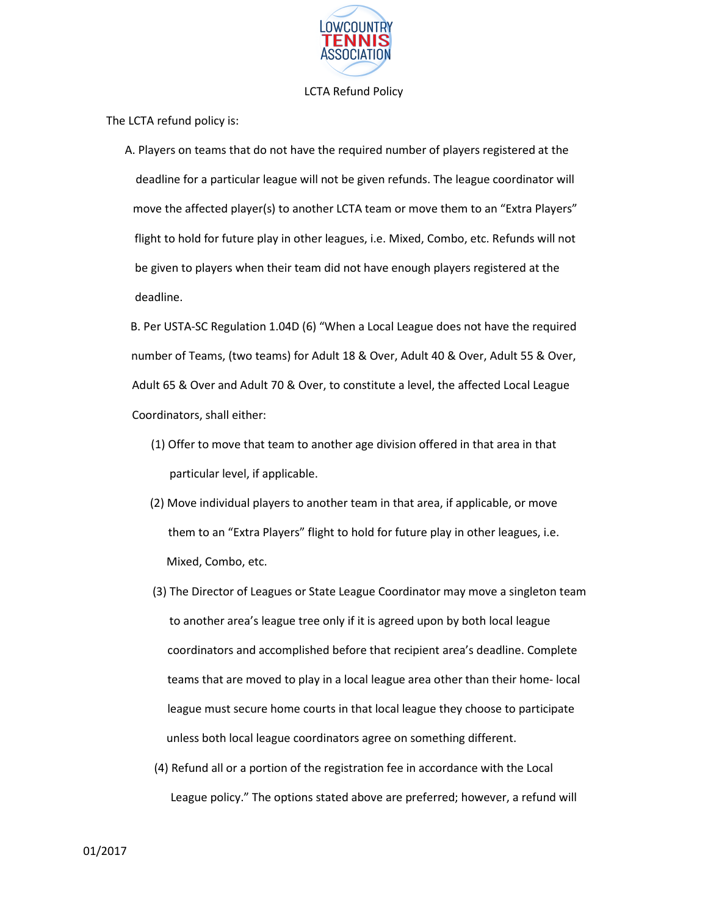

## LCTA Refund Policy

The LCTA refund policy is:

A. Players on teams that do not have the required number of players registered at the deadline for a particular league will not be given refunds. The league coordinator will move the affected player(s) to another LCTA team or move them to an "Extra Players" flight to hold for future play in other leagues, i.e. Mixed, Combo, etc. Refunds will not be given to players when their team did not have enough players registered at the deadline.

B. Per USTA-SC Regulation 1.04D (6) "When a Local League does not have the required number of Teams, (two teams) for Adult 18 & Over, Adult 40 & Over, Adult 55 & Over, Adult 65 & Over and Adult 70 & Over, to constitute a level, the affected Local League Coordinators, shall either:

- (1) Offer to move that team to another age division offered in that area in that particular level, if applicable.
- (2) Move individual players to another team in that area, if applicable, or move them to an "Extra Players" flight to hold for future play in other leagues, i.e. Mixed, Combo, etc.
- (3) The Director of Leagues or State League Coordinator may move a singleton team to another area's league tree only if it is agreed upon by both local league coordinators and accomplished before that recipient area's deadline. Complete teams that are moved to play in a local league area other than their home- local league must secure home courts in that local league they choose to participate unless both local league coordinators agree on something different.
- (4) Refund all or a portion of the registration fee in accordance with the Local League policy." The options stated above are preferred; however, a refund will